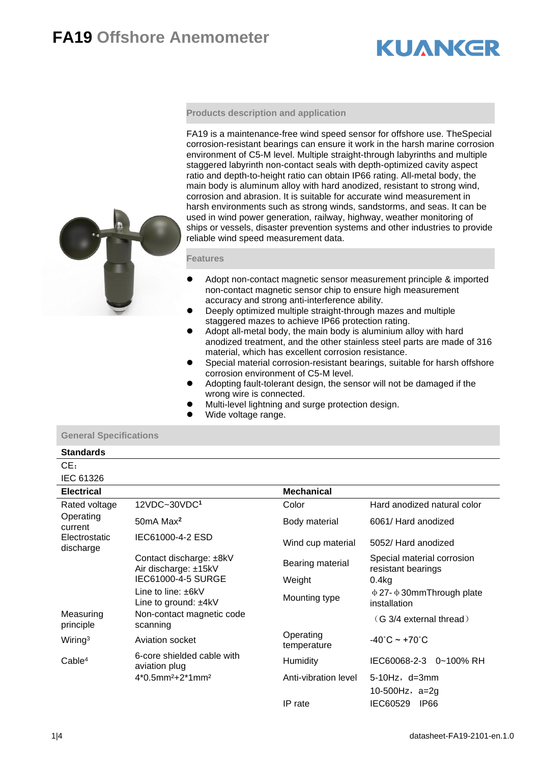## **FA19 Offshore Anemometer**

# **KUANKER**

### **Products description and application**

FA19 is a maintenance-free wind speed sensor for offshore use. TheSpecial corrosion-resistant bearings can ensure it work in the harsh marine corrosion environment of C5-M level. Multiple straight-through labyrinths and multiple staggered labyrinth non-contact seals with depth-optimized cavity aspect ratio and depth-to-height ratio can obtain IP66 rating. All-metal body, the main body is aluminum alloy with hard anodized, resistant to strong wind, corrosion and abrasion. It is suitable for accurate wind measurement in harsh environments such as strong winds, sandstorms, and seas. It can be used in wind power generation, railway, highway, weather monitoring of ships or vessels, disaster prevention systems and other industries to provide reliable wind speed measurement data.

### **Features**

- ⚫ Adopt non-contact magnetic sensor measurement principle & imported non-contact magnetic sensor chip to ensure high measurement accuracy and strong anti-interference ability.
- ⚫ Deeply optimized multiple straight-through mazes and multiple staggered mazes to achieve IP66 protection rating.
- ⚫ Adopt all-metal body, the main body is aluminium alloy with hard anodized treatment, and the other stainless steel parts are made of 316 material, which has excellent corrosion resistance.
- ⚫ Special material corrosion-resistant bearings, suitable for harsh offshore corrosion environment of C5-M level.
- ⚫ Adopting fault-tolerant design, the sensor will not be damaged if the wrong wire is connected.
- ⚫ Multi-level lightning and surge protection design.
- Wide voltage range.

### **General Specifications**

### **Standards**

### CE: IEC 61326

| <b>Electrical</b>          |                                                   | <b>Mechanical</b>                                                     |                                                    |  |
|----------------------------|---------------------------------------------------|-----------------------------------------------------------------------|----------------------------------------------------|--|
| Rated voltage              | 12VDC~30VDC <sup>1</sup>                          | Color                                                                 | Hard anodized natural color<br>6061/ Hard anodized |  |
| Operating<br>current       | 50mA Max <sup>2</sup>                             | Body material                                                         |                                                    |  |
| Electrostatic<br>discharge | IEC61000-4-2 ESD<br>Wind cup material             |                                                                       | 5052/ Hard anodized                                |  |
|                            | Contact discharge: ±8kV<br>Air discharge: ±15kV   | Bearing material                                                      | Special material corrosion<br>resistant bearings   |  |
|                            | IEC61000-4-5 SURGE                                | Weight                                                                | 0.4kg                                              |  |
|                            | Line to line: $\pm$ 6kV<br>Line to ground: $±4kV$ | $\Phi$ 27- $\Phi$ 30mm Through plate<br>Mounting type<br>installation |                                                    |  |
| Measuring<br>principle     | Non-contact magnetic code<br>scanning             |                                                                       | (G 3/4 external thread)                            |  |
| Wiring <sup>3</sup>        | Aviation socket                                   | Operating<br>temperature                                              | $-40^{\circ}$ C ~ +70 $^{\circ}$ C                 |  |
| Cable <sup>4</sup>         | 6-core shielded cable with<br>aviation plug       | Humidity                                                              | IEC60068-2-3<br>0~100% RH                          |  |
|                            | $4*0.5$ mm <sup>2</sup> +2 $*1$ mm <sup>2</sup>   | Anti-vibration level                                                  | $5-10Hz$ , $d=3mm$<br>10-500Hz, $a=2q$             |  |
|                            |                                                   | IP rate                                                               | IEC60529<br>IP66                                   |  |

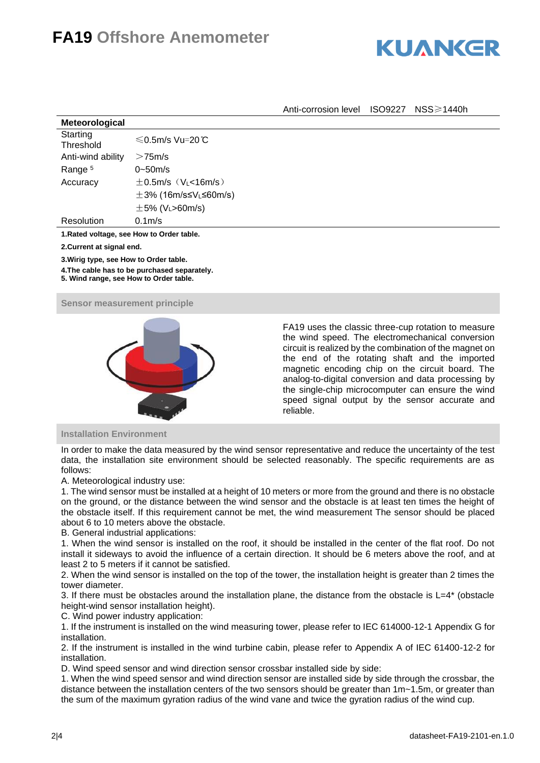# **FA19 Offshore Anemometer**



Anti-corrosion level ISO9227 NSS≥1440h

| Meteorological        |                                      |
|-----------------------|--------------------------------------|
| Starting<br>Threshold | $\leq$ 0.5m/s Vu=20℃                 |
| Anti-wind ability     | $>75$ m/s                            |
| Range <sup>5</sup>    | $0 - 50m/s$                          |
| Accuracy              | $\pm$ 0.5m/s (V <sub>L</sub> <16m/s) |
|                       | $\pm$ 3% (16m/s≤V∟≤60m/s)            |
|                       | $\pm$ 5% (V <sub>L</sub> >60m/s)     |
| Resolution            | $0.1m$ /s                            |
|                       |                                      |

**1.Rated voltage, see How to Order table.**

**2.Current at signal end.**

**3.Wirig type, see How to Order table.**

**4.The cable has to be purchased separately.**

**5. Wind range, see How to Order table.**

### **Sensor measurement principle**



FA19 uses the classic three-cup rotation to measure the wind speed. The electromechanical conversion circuit is realized by the combination of the magnet on the end of the rotating shaft and the imported magnetic encoding chip on the circuit board. The analog-to-digital conversion and data processing by the single-chip microcomputer can ensure the wind speed signal output by the sensor accurate and reliable.

### **Installation Environment**

In order to make the data measured by the wind sensor representative and reduce the uncertainty of the test data, the installation site environment should be selected reasonably. The specific requirements are as follows:

A. Meteorological industry use:

1. The wind sensor must be installed at a height of 10 meters or more from the ground and there is no obstacle on the ground, or the distance between the wind sensor and the obstacle is at least ten times the height of the obstacle itself. If this requirement cannot be met, the wind measurement The sensor should be placed about 6 to 10 meters above the obstacle.

B. General industrial applications:

1. When the wind sensor is installed on the roof, it should be installed in the center of the flat roof. Do not install it sideways to avoid the influence of a certain direction. It should be 6 meters above the roof, and at least 2 to 5 meters if it cannot be satisfied.

2. When the wind sensor is installed on the top of the tower, the installation height is greater than 2 times the tower diameter.

3. If there must be obstacles around the installation plane, the distance from the obstacle is L=4\* (obstacle height-wind sensor installation height).

C. Wind power industry application:

1. If the instrument is installed on the wind measuring tower, please refer to IEC 614000-12-1 Appendix G for installation.

2. If the instrument is installed in the wind turbine cabin, please refer to Appendix A of IEC 61400-12-2 for installation.

D. Wind speed sensor and wind direction sensor crossbar installed side by side:

1. When the wind speed sensor and wind direction sensor are installed side by side through the crossbar, the distance between the installation centers of the two sensors should be greater than 1m~1.5m, or greater than the sum of the maximum gyration radius of the wind vane and twice the gyration radius of the wind cup.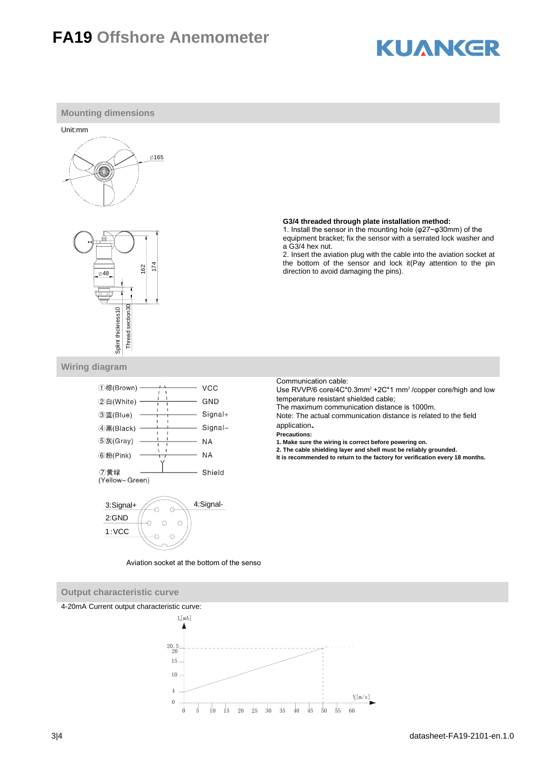## **FA19 Offshore Anemometer**

# **KUANKER**



10 15 20 25 30 35 40 45 50 55 60

 $V[m/s]$ 

3|4 datasheet-FA19-2101-en.1.0

 $\theta$